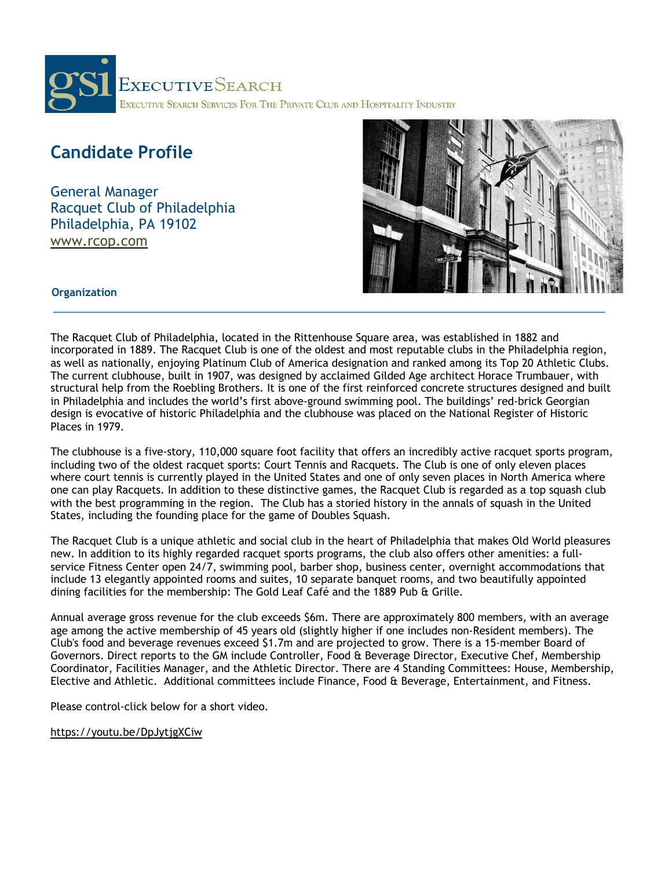

# **Candidate Profile**

General Manager Racquet Club of Philadelphia Philadelphia, PA 19102

www.rcop.com



#### **Organization**

The Racquet Club of Philadelphia, located in the Rittenhouse Square area, was established in 1882 and incorporated in 1889. The Racquet Club is one of the oldest and most reputable clubs in the Philadelphia region, as well as nationally, enjoying Platinum Club of America designation and ranked among its Top 20 Athletic Clubs. The current clubhouse, built in 1907, was designed by acclaimed Gilded Age architect Horace Trumbauer, with structural help from the Roebling Brothers. It is one of the first reinforced concrete structures designed and built in Philadelphia and includes the world's first above-ground swimming pool. The buildings' red-brick Georgian design is evocative of historic Philadelphia and the clubhouse was placed on the National Register of Historic Places in 1979.

The clubhouse is a five-story, 110,000 square foot facility that offers an incredibly active racquet sports program, including two of the oldest racquet sports: Court Tennis and Racquets. The Club is one of only eleven places where court tennis is currently played in the United States and one of only seven places in North America where one can play Racquets. In addition to these distinctive games, the Racquet Club is regarded as a top squash club with the best programming in the region. The Club has a storied history in the annals of squash in the United States, including the founding place for the game of Doubles Squash.

The Racquet Club is a unique athletic and social club in the heart of Philadelphia that makes Old World pleasures new. In addition to its highly regarded racquet sports programs, the club also offers other amenities: a fullservice Fitness Center open 24/7, swimming pool, barber shop, business center, overnight accommodations that include 13 elegantly appointed rooms and suites, 10 separate banquet rooms, and two beautifully appointed dining facilities for the membership: The Gold Leaf Café and the 1889 Pub & Grille.

Annual average gross revenue for the club exceeds \$6m. There are approximately 800 members, with an average age among the active membership of 45 years old (slightly higher if one includes non-Resident members). The Club's food and beverage revenues exceed \$1.7m and are projected to grow. There is a 15-member Board of Governors. Direct reports to the GM include Controller, Food & Beverage Director, Executive Chef, Membership Coordinator, Facilities Manager, and the Athletic Director. There are 4 Standing Committees: House, Membership, Elective and Athletic. Additional committees include Finance, Food & Beverage, Entertainment, and Fitness.

Please control-click below for a short video.

https://youtu.be/DpJytjgXCiw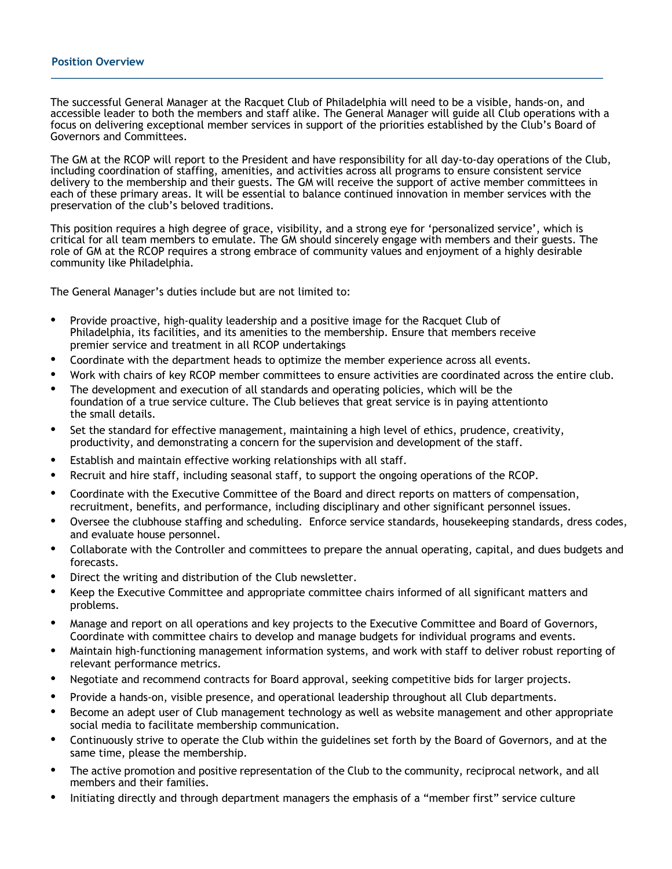#### **Position Overview**

The successful General Manager at the Racquet Club of Philadelphia will need to be a visible, hands-on, and accessible leader to both the members and staff alike. The General Manager will guide all Club operations with a focus on delivering exceptional member services in support of the priorities established by the Club's Board of Governors and Committees.

The GM at the RCOP will report to the President and have responsibility for all day-to-day operations of the Club, including coordination of staffing, amenities, and activities across all programs to ensure consistent service delivery to the membership and their guests. The GM will receive the support of active member committees in each of these primary areas. It will be essential to balance continued innovation in member services with the preservation of the club's beloved traditions.

This position requires a high degree of grace, visibility, and a strong eye for 'personalized service', which is critical for all team members to emulate. The GM should sincerely engage with members and their guests. The role of GM at the RCOP requires a strong embrace of community values and enjoyment of a highly desirable community like Philadelphia.

The General Manager's duties include but are not limited to:

- Provide proactive, high-quality leadership and a positive image for the Racquet Club of Philadelphia, its facilities, and its amenities to the membership. Ensure that members receive premier service and treatment in all RCOP undertakings
- Coordinate with the department heads to optimize the member experience across all events.
- Work with chairs of key RCOP member committees to ensure activities are coordinated across the entire club.
- The development and execution of all standards and operating policies, which will be the foundation of a true service culture. The Club believes that great service is in paying attentionto the small details.
- Set the standard for effective management, maintaining a high level of ethics, prudence, creativity, productivity, and demonstrating a concern for the supervision and development of the staff.
- Establish and maintain effective working relationships with all staff.
- Recruit and hire staff, including seasonal staff, to support the ongoing operations of the RCOP.
- Coordinate with the Executive Committee of the Board and direct reports on matters of compensation, recruitment, benefits, and performance, including disciplinary and other significant personnel issues.
- Oversee the clubhouse staffing and scheduling. Enforce service standards, housekeeping standards, dress codes, and evaluate house personnel.
- Collaborate with the Controller and committees to prepare the annual operating, capital, and dues budgets and forecasts.
- Direct the writing and distribution of the Club newsletter.
- Keep the Executive Committee and appropriate committee chairs informed of all significant matters and problems.
- Manage and report on all operations and key projects to the Executive Committee and Board of Governors, Coordinate with committee chairs to develop and manage budgets for individual programs and events.
- Maintain high-functioning management information systems, and work with staff to deliver robust reporting of relevant performance metrics.
- Negotiate and recommend contracts for Board approval, seeking competitive bids for larger projects.
- Provide a hands-on, visible presence, and operational leadership throughout all Club departments.
- Become an adept user of Club management technology as well as website management and other appropriate social media to facilitate membership communication.
- Continuously strive to operate the Club within the guidelines set forth by the Board of Governors, and at the same time, please the membership.
- The active promotion and positive representation of the Club to the community, reciprocal network, and all members and their families.
- Initiating directly and through department managers the emphasis of a "member first" service culture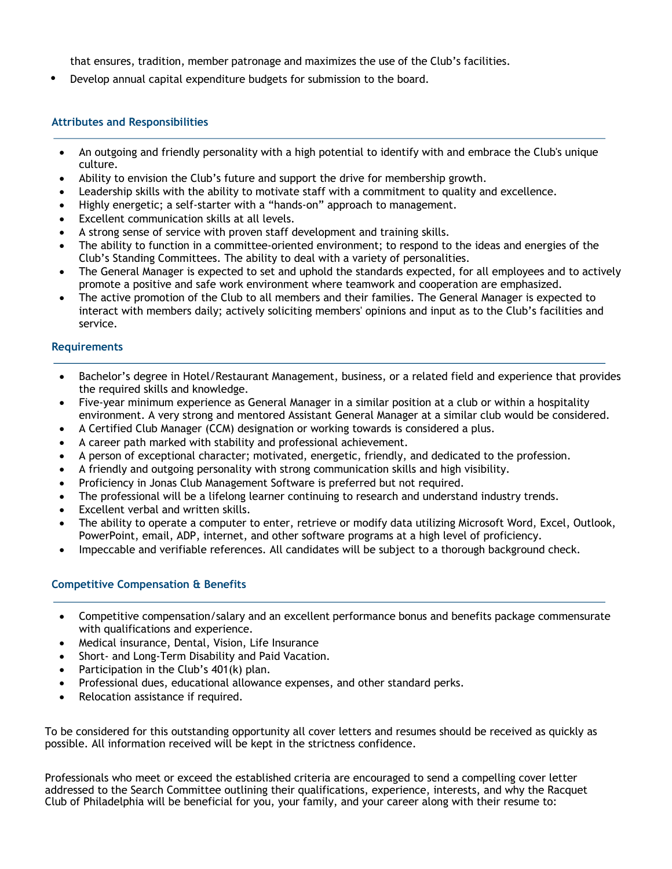that ensures, tradition, member patronage and maximizes the use of the Club's facilities.

• Develop annual capital expenditure budgets for submission to the board.

## **Attributes and Responsibilities**

- An outgoing and friendly personality with a high potential to identify with and embrace the Club's unique culture.
- Ability to envision the Club's future and support the drive for membership growth.
- Leadership skills with the ability to motivate staff with a commitment to quality and excellence.
- Highly energetic; a self-starter with a "hands-on" approach to management.
- Excellent communication skills at all levels.
- A strong sense of service with proven staff development and training skills.
- The ability to function in a committee-oriented environment; to respond to the ideas and energies of the Club's Standing Committees. The ability to deal with a variety of personalities.
- The General Manager is expected to set and uphold the standards expected, for all employees and to actively promote a positive and safe work environment where teamwork and cooperation are emphasized.
- The active promotion of the Club to all members and their families. The General Manager is expected to interact with members daily; actively soliciting members' opinions and input as to the Club's facilities and service.

### **Requirements**

- Bachelor's degree in Hotel/Restaurant Management, business, or a related field and experience that provides the required skills and knowledge.
- Five-year minimum experience as General Manager in a similar position at a club or within a hospitality environment. A very strong and mentored Assistant General Manager at a similar club would be considered.
- A Certified Club Manager (CCM) designation or working towards is considered a plus.
- A career path marked with stability and professional achievement.
- A person of exceptional character; motivated, energetic, friendly, and dedicated to the profession.
- A friendly and outgoing personality with strong communication skills and high visibility.
- Proficiency in Jonas Club Management Software is preferred but not required.
- The professional will be a lifelong learner continuing to research and understand industry trends.
- Excellent verbal and written skills.
- The ability to operate a computer to enter, retrieve or modify data utilizing Microsoft Word, Excel, Outlook, PowerPoint, email, ADP, internet, and other software programs at a high level of proficiency.
- Impeccable and verifiable references. All candidates will be subject to a thorough background check.

### **Competitive Compensation & Benefits**

- Competitive compensation/salary and an excellent performance bonus and benefits package commensurate with qualifications and experience.
- Medical insurance, Dental, Vision, Life Insurance
- Short- and Long-Term Disability and Paid Vacation.
- Participation in the Club's 401(k) plan.
- Professional dues, educational allowance expenses, and other standard perks.
- Relocation assistance if required.

To be considered for this outstanding opportunity all cover letters and resumes should be received as quickly as possible. All information received will be kept in the strictness confidence.

Professionals who meet or exceed the established criteria are encouraged to send a compelling cover letter addressed to the Search Committee outlining their qualifications, experience, interests, and why the Racquet Club of Philadelphia will be beneficial for you, your family, and your career along with their resume to: